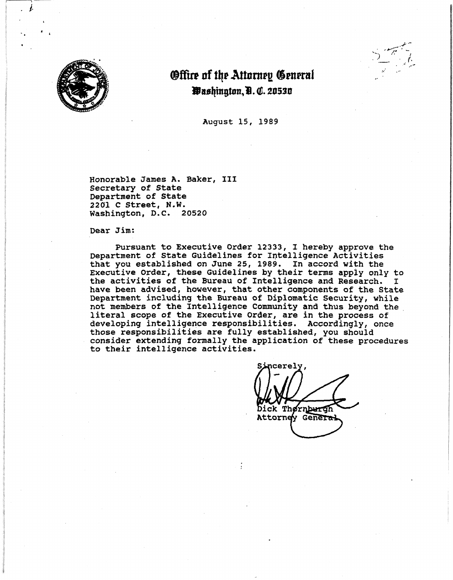

J.



# **Offire of the Attorney General** *<u>Pashington, B. C. 20530</u>*

August 15, 1989

Honorable James A. Baker, III Secretary of State Department of State 2201 C Street, **N.W.**  Washington, D.c. 20520

Dear Jim:

file in Provincial Afr

I

I

I

Pursuant to Executive Order 12333, I hereby approve the Department of State Guidelines for Intelligence Activities that you established on June 25, 1989. In accord with the Executive order, these Guidelines by their terms appiy only to the activities of the Bureau of Intelligence and Research. I have been advised, however, that other components of the State Department including the Bureau of Diplomatic security, while not members of the Intelligence Community and thus beyond the. literal scope of the Executive Order, are in the process of developing intelligence responsibilities. Accordingly, once those responsibilities are fully established, you should consider extending formally the application of these procedures to their intelligence activities.

ck Thørnburgh Attorney General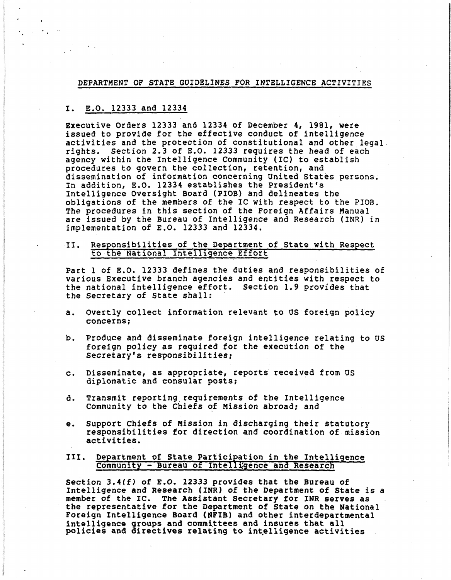# DEPARTMENT OF **STATE** GUIDELINES FOR INTELLIGENCE ACTIVITIES

# I. E.O. 12333 and 12334

Executive Orders 12333 and 12334 of December 4, 1981, were issued to provide for the effective conduct of intelligence activities and the protection of constitutional and other legal. rights. Section 2.3 of E.o. 12333 requires the head of each agency within the Intelligence Community (IC) to establish procedures to govern the collection, retention, and dissemination of information concerning united States persons. In addition, E.O. 12334 establishes the President's Intelligence Oversight Board (PIOB) and delineates the obligations of the members of the IC with respect to the PIOB. The procedures in this section of the Foreign Affairs Manual are issued by the Bureau of Intelligence and Research (INR) in implementation of E.O. 12333 and 12334.

# II. Responsibilities of the Department of State with Respect to the National Intelligence Effort

Part l of E.O. 12333 defines the duties and responsibilities of various Executive branch agencies and entities with respect to the national intelligence effort. Section 1.9 provides that the Secretary of State shall:

- a. Overtly collect information relevant to US foreign policy concerns;
- b. Produce and disseminate foreign intelligence relating to us foreign policy as required for the execution of the Secretary's responsibilities;
- c. Disseminate, as appropriate, reports received from us diplomatic and consular posts;
- d. Transmit reporting\_ requirements of the Intelligence Community to the Chiefs of Mission abroad; and
- e. Support Chiefs of Mission in discharging their statutory responsibilities for direction and coordination of mission **activities.**

### III. Department of State Participation in the Intelligence Community - Bureau of Intelligence and Research

section 3.4(f) of E.O. 12333 provides that the Bureau of Intelligence and Research (INR) of the Department of State is a member of the IC. The Assistant secretary for INR serves as the representative for the Department of State on the National Foreign Intelligence Board **(NFIB)** and other interdepartmental intelligence groups and committees and insures that all policies and directives relating to intelligence activities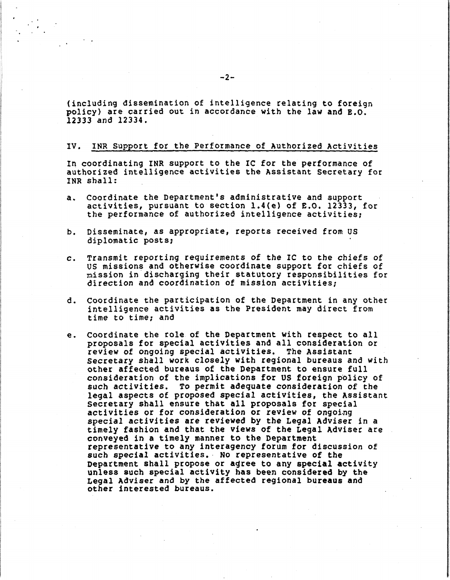(including dissemination of intelligence relating to foreign policy) are carried out in accordance with the law and E.O. 12333 and 12334.

# IV. INR Support for the Performance of Authorized Activities

In coordinating INR support to the IC for the performance of authorized intelligence activities the Assistant Secretary for INR shall:

- a. Coordinate the Department's administrative and support activities, pursuant to section l.4(e) of E.O. 12333, for the performance of authorized intelligence activities;
- b. Disseminate, as appropriate, reports received from us diplomatic posts;
- c. Transmit reporting requirements of the IC to the chiefs of us missions and otherwise coordinate support for chiefs of mission in discharging their statutory responsibilities for direction and coordination of mission activities;
- d. Coordinate the participation of the Department in any other intelligence activities as the President may direct from time to time; and
- e. coordinate the role of the Department with respect to all proposals for special activities and all consideration or review of ongoing special activities. The Assistant secretary shall work closely with regional bureaus and with other affected bureaus of the Department to ensure full consideration of the implications for us foreign policy of such activities. To permit adequate consideration of the legal aspects of proposed special activities, the Assistant Secretary shall ensure that all proposals for special activities or for consideration or review of ongoing special activities are reviewed by the Legal Adviser in a timely fashion and that the views of the Legal Adviser are<br>conveyed in a timely manner to the Department representative to any interagency forum for discussion of such special activities. No representative of the<br>Department shall propose or agree to any special activity unless such special activity has been considered by the Legal Adviser and by the affected regional **bureaus** and other interested bureaus.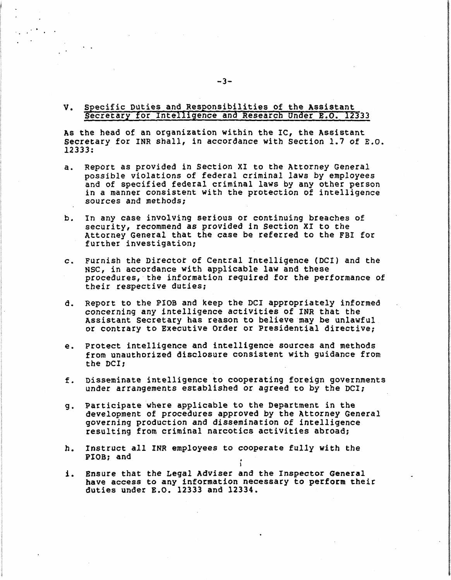#### **v.**  Specific Duties and Responsibilities of the Assistant secretary for Intelligence and Research Under E.O. 12333

As the head of an organization within the IC, the Assistant secretary for INR shall, in accordance with Section 1.7 of E.o. 12333:

- a. Report as provided in Section XI to the Attorney General and of specified federal criminal laws by any other person in a manner consistent with the protection of intelligence sources and methods;
- b. In any case involving serious or continuing breaches of security, recommend as provided in Section XI to the Attorney General that the case be referred to the FBI for further investigation;

**ISBN 978-882-81-4982-8**<br>ISBN 978-8<br>ISBN 978-8 **International** 

 $\mathbf{.}$ 

I WORLDWAY.<br>I

 $\mathcal{L}$  is a second control of the second control of the second control of the second control of the second control of the second control of the second control of the second control of the second control of the second co

I ! In Standard<br>I l I **Professioner** 

- c. Furnish the Director of Central Intelligence (DCI) and the NSC, in accordance with applicable law and these procedures, the information required for the performance of their respective duties;
- d. Report to the PIOB and keep the DCI appropriately informed concerning any intelligence activities of INR that the Assistant secretary has reason to believe may be unlawful or contrary to Executive Order or Presidential directive;
- e. Protect intelligence and intelligence sources and methods from unauthorized disclosure consistent with guidance from the DCI;
- f. Disseminate intelligence to cooperating foreign governments under arrangements established or **agreed** to by the DCI;
- g. Participate where applicable to the Department in the development of procedures approved by the Attorney General governing production and dissemination of intelligence resulting from criminal narcotics activities abroad;
- h. Instruct all INR employees to cooperate fully with the PIOB; and
- i. Ensure that the Legal Adviser and the Inspector General have access to any information necessary to perform their duties under E.O. 12333 and 12334.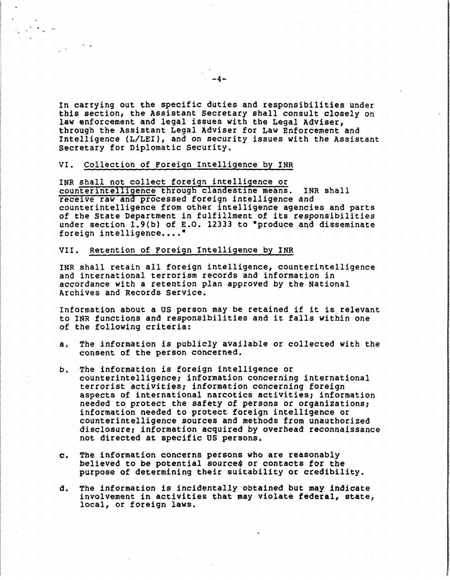In carrying out the specific duties and responsibilities under this section, the Assistant Secretary shall consult closely on law enforcement and legal issues with the Legal Adviser, through the Assistant Legal Adviser for Law Enforcement and Intelligence (L/LEI), and on security issues with the Assistant secretary for Diplomatic Security.

# VI. Collection of Foreign Intelligence by INR

..

INR shall not collect foreign intelligence or counterintelligence through clandestine means. INR shall receive raw and processed foreign intelligence and<br>counterintelligence from other intelligence agencies and parts of the State Department in fulfillment of its responsibilities under section 1.9(b) of E.O. 12333 to "produce and disseminate foreign intelligence....

# VII. Retention of Foreign Intelligence by INR

INR shall retain all foreign intelligence, counterintelligence and international terrorism records and information in accordance with a retention plan approved by the National Archives and Records Service.

Information about a us person may be retained if it is\_ relevant to INR functions and responsibilities and it falls Within one of the following criteria:

- a. The information is publicly available or collected with the consent of the person concerned.
- b. The information is foreign intelligence or counterintelligence; information concerning international terrorist activities; information concerning foreign aspects of international narcotics activities; information<br>needed to protect the safety of persons or organizations; information needed to protect foreign intelligence or counterintelligence sources and methods from unauthorized disclosure, information acquired by overhead reconnaissance not directed at specific us persons.
- c. The information concerns persons who are reasonably believed to be potential source\$ or contacts for the purpose of determining their suitability or credibility.
- a. The information is incidentally obtained but may indicate involvement in activities that may violate **federal,** state, local, or foreign **laws.** ·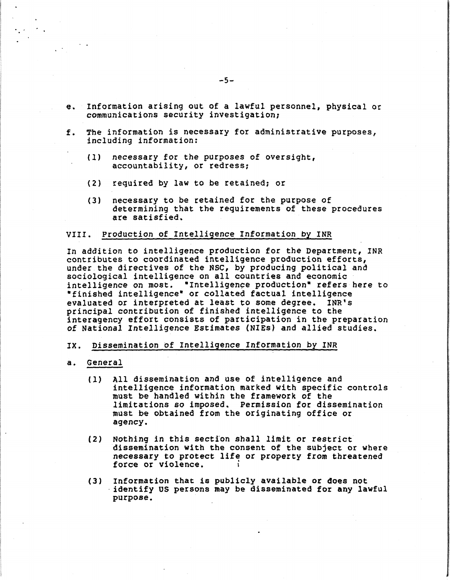- e. Information arising out of a lawful personnel, physical or communications security investigation;
- f. The information is necessary for administrative purposes, including information:
	- (1) necessary for the purposes of oversight, accountability, or redress;
	- (2) required by law to be retained: or
	- (3) necessary to be retained for the purpose of determining that the requirements of these procedures are satisfied.

#### VIII. Production of Intelligence Information by INR

In addition to intelligence production for the Department, INR contributes to coordinated intelligence production efforts, under the directives of the NSC, by producing political and sociological intelligence on all countries and economic intelligence on most. "Intelligence production" refers here to \*finished intelligence\* or collated factual intelligence<br>evaluated or interpreted at least to some degree. INR's evaluated or interpreted at least to some degree. principal contribution of finished intelligence to the interagency effort consists of participation in the preparation of National Intelligence Estimates (NlEs) and allied studies.

# IX. Dissemination of Intelligence Information by INR

#### a. General

- (1) All dissemination and use of intelligence and intelligence information marked with specific controls must be handled within the framework of the limitations so imposed. Permission for dissemination must be obtained from the originating office or agency.
- (2) Nothing in this section shall limit or restrict dissemination with the consent of the subject or where necessary to protect life or property from threatened force or violence.
- (3) Information that is publicly available **or does** not · identify us persons may be disseminated for any lawful purpose.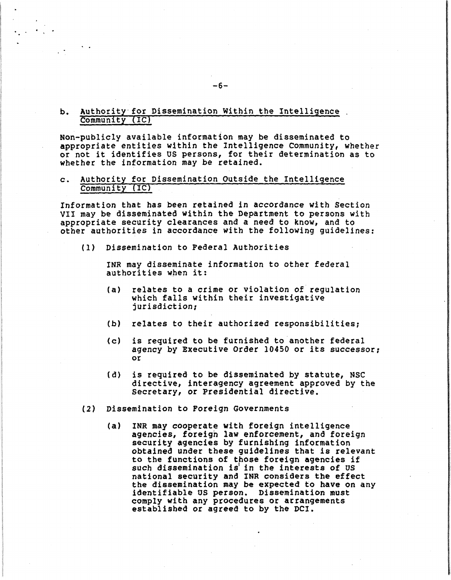# b. Authority for Dissemination Within the Intelligence. Community (IC)

Non-publicly available information may be disseminated to appropriate entities within the Intelligence Community, whether or not it identifies OS persons, for their determination as to whether the information may be retained.

# c. Authority for Dissemination Outside the Intelligence Community (IC)

Information that has been retained in accordance with Section VII may be disseminated within the Department to persons with appropriate security clearances and a need to know, and to other authorities in accordance with the following guidelines:

(1) Dissemination to Federal Authorities

INR may disseminate information to other federal authorities when it:

- (a) relates to a crime or violation of regulation which falls within their investigative jurisdiction;
- (b) relates to their authorized responsibilities;
- (c) is required to be furnished to another federal agency by Executive Order 10450 or its successor; or
- (d) is required to be disseminated by statute, NSC directive, interagency agreement approved by the secretary, or Presidential directive.
- (2) Dissemination to Foreign Governments
	- (a) INR may cooperate **with** foreign intelligence agencies, foreign law enforcement, and foreign<br>security agencies by furnishing information obtained under these guidelines that is relevant to the functions of those foreign agencies if such dissemination is in the interests of US national security and INR considers the effect the dissemination may be expected to have on any identifiable us person. Dissemination must comply with any procedures or arrangements established *or* agreed to by the DCI.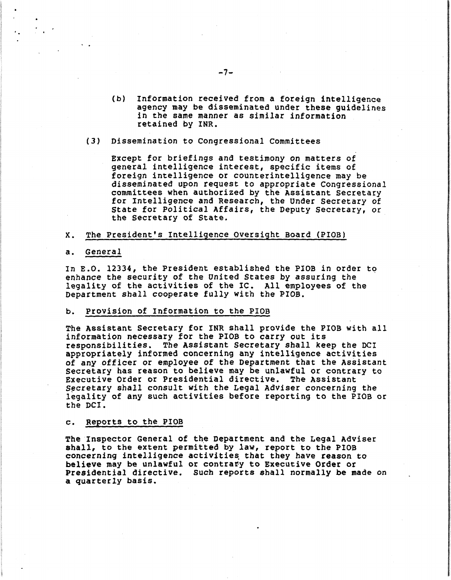- (b) Information received from a foreign intelligence agency may be disseminated under these guidelines in the same manner as similar information retained by INR.
- (3) Dissemination to congressional committees

Except for briefings and testimony on matters of general intelligence interest, specific items of foreign intelligence or counterintelligence may be<br>disseminated upon request to appropriate Congressional committees when authorized by the Assistant Secretary<br>for Intelligence and Research, the Under Secretary of State for Political Affairs, the Deputy secretary, or the secretary of State.

#### x. The President's Intelligence oversight Board (PIOB)

#### a. General

. .

In E.O. 12334, the President established the PIOB in order to enhance the security of the United States by assuring the legality of the activities of the IC. All employees of the Department shall cooperate fully with the PIOB.

#### b. Provision of Information to the PIOB

The Assistant Secretary for INR shall provide the PIOB with all information necessary for the PIOB to carry out its responsibilities. The Assistant Secretary shall keep the DCI appropriately informed concerning any intelligence activities of any officer or employee of the Department that the Assistant secretary has reason to believe may be unlawful or contrary to Executive Order or Presidential directive. The Assistant Secretary shall consult with the Legal Adviser concerning the legality of any such activities before reporting to the PIOB or the DCI.

#### c. Reports to the PIOB

The Inspector General of the Department and the Legal Adviser shall, to the extent permitted by law, report to the PIOB concerning intelligence activities that they have reason to believe may be unlawful or contrafy to Executive Order or Presidential directive. such reports shall normally be made on a quarterly basis.